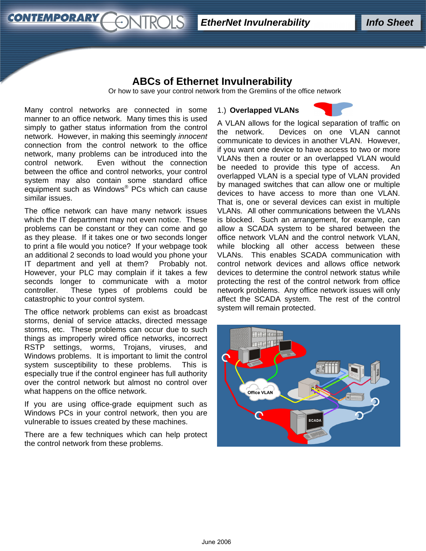# **ABCs of Ethernet Invulnerability**

Or how to save your control network from the Gremlins of the office network

Many control networks are connected in some manner to an office network. Many times this is used simply to gather status information from the control network. However, in making this seemingly *innocent* connection from the control network to the office network, many problems can be introduced into the control network. Even without the connection between the office and control networks, your control system may also contain some standard office equipment such as Windows® PCs which can cause similar issues.

**CONTEMPORARY** 

The office network can have many network issues which the IT department may not even notice. These problems can be constant or they can come and go as they please. If it takes one or two seconds longer to print a file would you notice? If your webpage took an additional 2 seconds to load would you phone your IT department and yell at them? Probably not. However, your PLC may complain if it takes a few seconds longer to communicate with a motor controller. These types of problems could be catastrophic to your control system.

The office network problems can exist as broadcast storms, denial of service attacks, directed message storms, etc. These problems can occur due to such things as improperly wired office networks, incorrect RSTP settings, worms, Trojans, viruses, and Windows problems. It is important to limit the control system susceptibility to these problems. This is especially true if the control engineer has full authority over the control network but almost no control over what happens on the office network.

If you are using office-grade equipment such as Windows PCs in your control network, then you are vulnerable to issues created by these machines.

There are a few techniques which can help protect the control network from these problems.

## 1.) **Overlapped VLANs**



A VLAN allows for the logical separation of traffic on the network. Devices on one VLAN cannot communicate to devices in another VLAN. However, if you want one device to have access to two or more VLANs then a router or an overlapped VLAN would be needed to provide this type of access. An overlapped VLAN is a special type of VLAN provided by managed switches that can allow one or multiple devices to have access to more than one VLAN. That is, one or several devices can exist in multiple VLANs. All other communications between the VLANs is blocked. Such an arrangement, for example, can allow a SCADA system to be shared between the office network VLAN and the control network VLAN, while blocking all other access between these VLANs. This enables SCADA communication with control network devices and allows office network devices to determine the control network status while protecting the rest of the control network from office network problems. Any office network issues will only affect the SCADA system. The rest of the control system will remain protected.